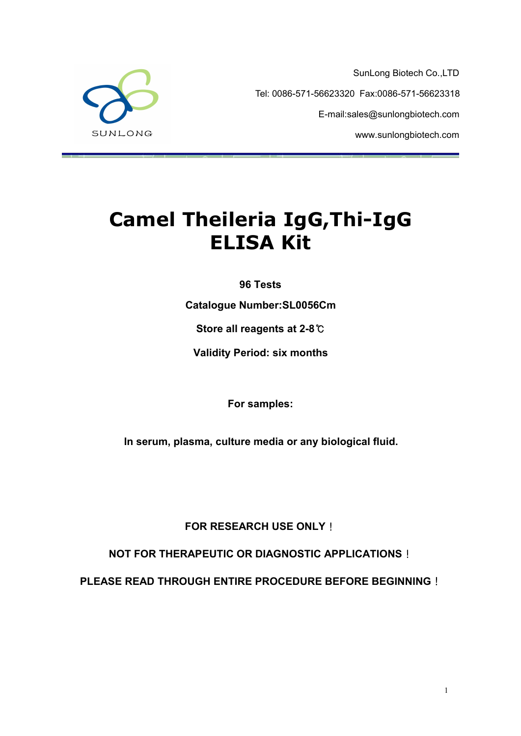

SunLong Biotech Co.,LTD Tel: 0086-571-56623320 Fax:0086-571-56623318 E-mail:sales@sunlongbiotech.com www.sunlongbiotech.com

# **Camel Theileria IgG,Thi-IgG ELISA Kit**

**96 Tests**

**Catalogue Number:SL0056Cm**

**Store all reagents at 2-8**℃

**Validity Period: six months**

**For samples:**

**In serum, plasma, culture media or any biological fluid.**

**FOR RESEARCH USE ONLY**!

**NOT FOR THERAPEUTIC OR DIAGNOSTIC APPLICATIONS**!

**PLEASE READ THROUGH ENTIRE PROCEDURE BEFORE BEGINNING**!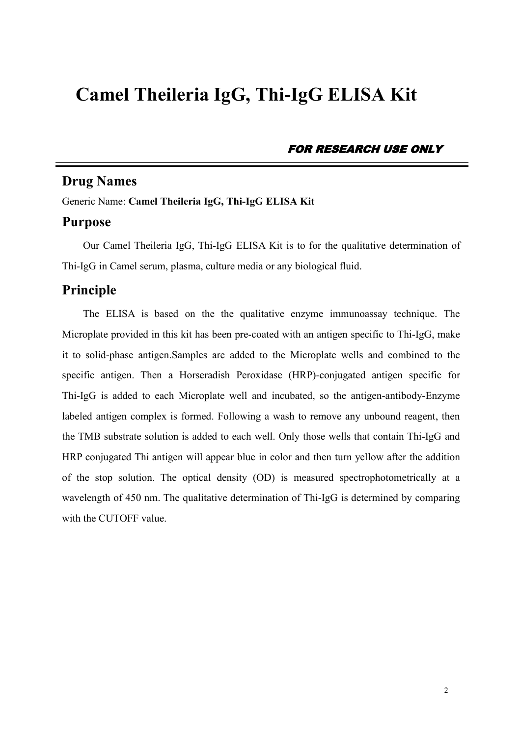## **Camel Theileria IgG, Thi-IgG ELISA Kit**

FOR RESEARCH USE ONLY

## **Drug Names**

Generic Name: **Camel Theileria IgG, Thi-IgG ELISA Kit**

## **Purpose**

Our Camel Theileria IgG, Thi-IgG ELISA Kit is to for the qualitative determination of Thi-IgG in Camel serum, plasma, culture media or any biological fluid.

## **Principle**

The ELISA is based on the the qualitative enzyme immunoassay technique.The Microplate provided in this kit has been pre-coated with an antigen specific to Thi-IgG, make it to solid-phase antigen.Samples are added to the Microplate wells and combined to the specific antigen. Then a Horseradish Peroxidase (HRP)-conjugated antigen specific for Thi-IgG is added to each Microplate well and incubated, so the antigen-antibody-Enzyme labeled antigen complex is formed. Following a wash to remove any unbound reagent, then the TMB substrate solution is added to each well. Only those wells that contain Thi-IgG and HRP conjugated Thi antigen will appear blue in color and then turn yellow after the addition of the stop solution. The optical density (OD) is measured spectrophotometrically at a wavelength of 450 nm. The qualitative determination of Thi-IgG is determined by comparing with the CUTOFF value.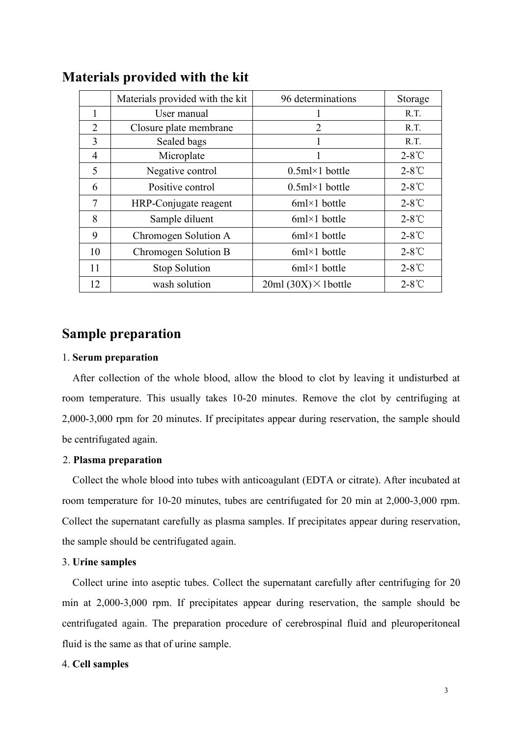|                | Materials provided with the kit | 96 determinations           | Storage         |
|----------------|---------------------------------|-----------------------------|-----------------|
|                | User manual                     |                             | R.T.            |
| $\overline{2}$ | Closure plate membrane          | $\overline{2}$              | R.T.            |
| 3              | Sealed bags                     |                             | R.T.            |
| 4              | Microplate                      |                             | $2-8^{\circ}$ C |
| 5              | Negative control                | $0.5$ ml×1 bottle           | $2-8^{\circ}C$  |
| 6              | Positive control                | $0.5$ ml×1 bottle           | $2-8^{\circ}C$  |
| 7              | HRP-Conjugate reagent           | $6m \times 1$ bottle        | $2-8^{\circ}$ C |
| 8              | Sample diluent                  | $6m \times 1$ bottle        | $2-8^{\circ}$ C |
| 9              | Chromogen Solution A            | $6m \times 1$ bottle        | $2-8^{\circ}$ C |
| 10             | Chromogen Solution B            | $6m \times 1$ bottle        | $2-8^{\circ}C$  |
| 11             | <b>Stop Solution</b>            | $6m \times 1$ bottle        | $2-8^{\circ}C$  |
| 12             | wash solution                   | $20ml (30X) \times 1bottle$ | $2-8^{\circ}$ C |

## **Materials provided with the kit**

## **Sample preparation**

#### 1. **Serum preparation**

After collection of the whole blood, allow the blood to clot by leaving it undisturbed at room temperature. This usually takes 10-20 minutes. Remove the clot by centrifuging at 2,000-3,000 rpm for 20 minutes. If precipitates appear during reservation, the sample should be centrifugated again.

#### 2. **Plasma preparation**

Collect the whole blood into tubes with anticoagulant (EDTA or citrate). After incubated at room temperature for 10-20 minutes, tubes are centrifugated for 20 min at 2,000-3,000 rpm. Collect the supernatant carefully as plasma samples. If precipitates appear during reservation, the sample should be centrifugated again.

#### 3. **Urine samples**

Collect urine into aseptic tubes. Collect the supernatant carefully after centrifuging for 20 min at 2,000-3,000 rpm. If precipitates appear during reservation, the sample should be centrifugated again. The preparation procedure of cerebrospinal fluid and pleuroperitoneal fluid is the same as that of urine sample.

#### 4. **Cell samples**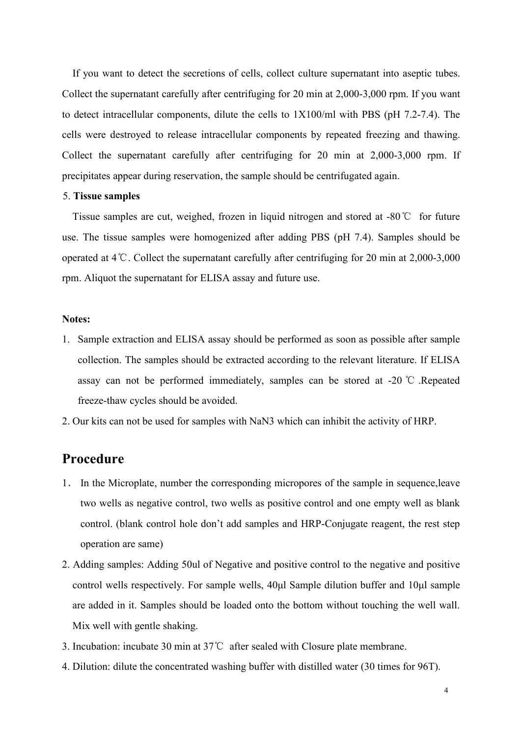If you want to detect the secretions of cells, collect culture supernatant into aseptic tubes. Collect the supernatant carefully after centrifuging for 20 min at 2,000-3,000 rpm. If you want to detect intracellular components, dilute the cells to 1X100/ml with PBS (pH 7.2-7.4). The cells were destroyed to release intracellular components by repeated freezing and thawing. Collect the supernatant carefully after centrifuging for 20 min at 2,000-3,000 rpm. If precipitates appear during reservation, the sample should be centrifugated again.

#### 5. **Tissue samples**

Tissue samples are cut, weighed, frozen in liquid nitrogen and stored at -80℃ for future use. The tissue samples were homogenized after adding PBS (pH 7.4). Samples should be operated at 4℃. Collect the supernatant carefully after centrifuging for 20 min at 2,000-3,000 rpm. Aliquot the supernatant for ELISA assay and future use.

#### **Notes:**

- 1. Sample extraction and ELISA assay should be performed as soon as possible after sample collection. The samples should be extracted according to the relevant literature. If ELISA assay can not be performed immediately, samples can be stored at -20 ℃ .Repeated freeze-thaw cycles should be avoided.2. Our kits can not be used for samples with NaN3 which can inhibit the activity of HRP.
- 

## **Procedure**

- 1. In the Microplate, number the corresponding micropores of the sample in sequence,leave two wells as negative control, two wells as positive controland one empty well as blank control. (blank control hole don't add samples and HRP-Conjugate reagent, the rest step operation are same)
- 2. Adding samples: Adding 50ul of Negative and positive control to the negative and positive control wells respectively. For sample wells, 40μl Sample dilution buffer and 10μl sample are added in it. Samples should be loaded onto the bottom without touching the well wall. Mix well with gentle shaking.
- 3. Incubation: incubate 30 min at 37℃ after sealed with Closure plate membrane.
- 4. Dilution: dilute the concentrated washing buffer with distilled water (30 times for 96T).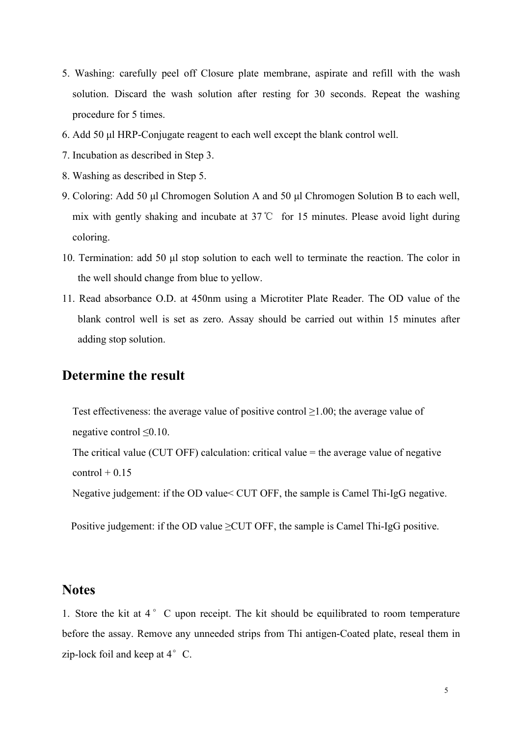- 5. Washing: carefully peel off Closure plate membrane, aspirate and refill with the wash solution. Discard the wash solution after resting for 30 seconds. Repeat the washing procedure for 5 times.
- 6. Add 50 μl HRP-Conjugate reagent to each well except the blank control well.
- 7. Incubation as described in Step 3.
- 8. Washing as described in Step 5.
- 9. Coloring: Add 50 μl Chromogen Solution A and 50 μl Chromogen Solution B to each well, mix with gently shaking and incubate at 37℃ for 15 minutes. Please avoid light during coloring.
- 10. Termination: add 50 μl stop solution to each well to terminate the reaction. The color in the well should change from blue to yellow.
- 11. Read absorbance O.D. at 450nm using a Microtiter Plate Reader. The OD value of the blank control well is set as zero. Assay should be carried out within 15 minutes after adding stop solution.

## **Determine the result**

Test effectiveness: the average value of positive control≥1.00; the average value of negative control≤0.10.

The critical value (CUT OFF) calculation: critical value = the average value of negative  $control + 0.15$ 

Negative judgement: if the OD value < CUT OFF, the sample is Camel Thi-IgG negative.

Positive judgement: if the OD value  $\geq$ CUT OFF, the sample is Camel Thi-IgG positive.

## **Notes**

1. Store the kit at  $4^\circ$  C upon receipt. The kit should be equilibrated to room temperature before the assay. Remove any unneeded strips from Thi antigen-Coated plate, reseal them in zip-lock foil and keep at  $4^{\circ}$  C.